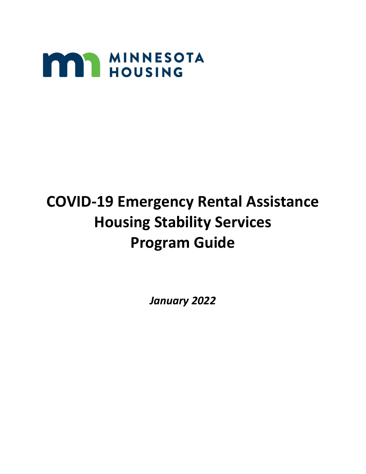

# **COVID-19 Emergency Rental Assistance Housing Stability Services Program Guide**

*January 2022*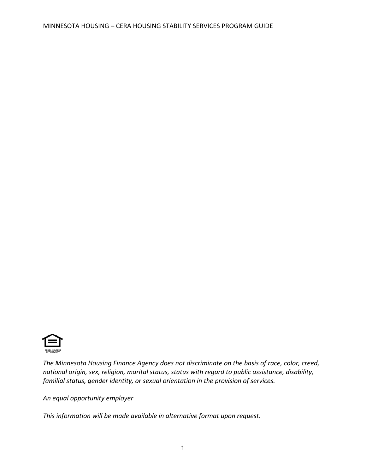

*The Minnesota Housing Finance Agency does not discriminate on the basis of race, color, creed, national origin, sex, religion, marital status, status with regard to public assistance, disability, familial status, gender identity, or sexual orientation in the provision of services.*

*An equal opportunity employer*

*This information will be made available in alternative format upon request.*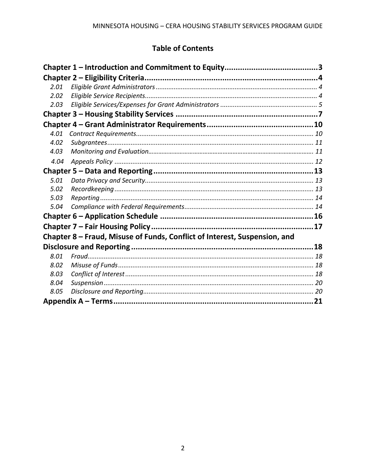# **Table of Contents**

| 2.01 |                                                                           |  |  |  |
|------|---------------------------------------------------------------------------|--|--|--|
| 2.02 |                                                                           |  |  |  |
| 2.03 |                                                                           |  |  |  |
|      |                                                                           |  |  |  |
|      |                                                                           |  |  |  |
| 4.01 |                                                                           |  |  |  |
| 4.02 |                                                                           |  |  |  |
| 4.03 |                                                                           |  |  |  |
| 4.04 |                                                                           |  |  |  |
|      |                                                                           |  |  |  |
| 5.01 |                                                                           |  |  |  |
| 5.02 |                                                                           |  |  |  |
| 5.03 |                                                                           |  |  |  |
| 5.04 |                                                                           |  |  |  |
|      |                                                                           |  |  |  |
|      |                                                                           |  |  |  |
|      | Chapter 8 – Fraud, Misuse of Funds, Conflict of Interest, Suspension, and |  |  |  |
|      |                                                                           |  |  |  |
| 8.01 |                                                                           |  |  |  |
| 8.02 |                                                                           |  |  |  |
| 8.03 |                                                                           |  |  |  |
| 8.04 |                                                                           |  |  |  |
| 8.05 |                                                                           |  |  |  |
|      |                                                                           |  |  |  |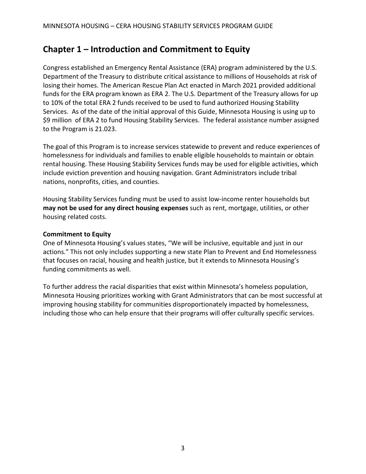# <span id="page-3-0"></span>**Chapter 1 – Introduction and Commitment to Equity**

Congress established an Emergency Rental Assistance (ERA) program administered by the U.S. Department of the Treasury to distribute critical assistance to millions of Households at risk of losing their homes. The American Rescue Plan Act enacted in March 2021 provided additional funds for the ERA program known as ERA 2. The U.S. Department of the Treasury allows for up to 10% of the total ERA 2 funds received to be used to fund authorized Housing Stability Services. As of the date of the initial approval of this Guide, Minnesota Housing is using up to \$9 million of ERA 2 to fund Housing Stability Services. The federal assistance number assigned to the Program is 21.023.

The goal of this Program is to increase services statewide to prevent and reduce experiences of homelessness for individuals and families to enable eligible households to maintain or obtain rental housing. These Housing Stability Services funds may be used for eligible activities, which include eviction prevention and housing navigation. Grant Administrators include tribal nations, nonprofits, cities, and counties.

Housing Stability Services funding must be used to assist low-income renter households but **may not be used for any direct housing expenses** such as rent, mortgage, utilities, or other housing related costs.

#### **Commitment to Equity**

One of Minnesota Housing's values states, "We will be inclusive, equitable and just in our actions." This not only includes supporting a new state Plan to Prevent and End Homelessness that focuses on racial, housing and health justice, but it extends to Minnesota Housing's funding commitments as well.

To further address the racial disparities that exist within Minnesota's homeless population, Minnesota Housing prioritizes working with Grant Administrators that can be most successful at improving housing stability for communities disproportionately impacted by homelessness, including those who can help ensure that their programs will offer culturally specific services.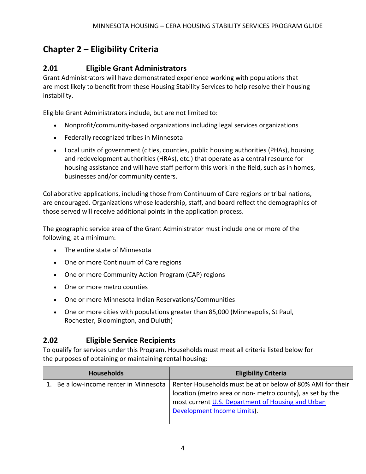# <span id="page-4-0"></span>**Chapter 2 – Eligibility Criteria**

# <span id="page-4-1"></span>**2.01 Eligible Grant Administrators**

Grant Administrators will have demonstrated experience working with populations that are most likely to benefit from these Housing Stability Services to help resolve their housing instability.

Eligible Grant Administrators include, but are not limited to:

- Nonprofit/community-based organizations including legal services organizations
- Federally recognized tribes in Minnesota
- Local units of government (cities, counties, public housing authorities (PHAs), housing and redevelopment authorities (HRAs), etc.) that operate as a central resource for housing assistance and will have staff perform this work in the field, such as in homes, businesses and/or community centers.

Collaborative applications, including those from Continuum of Care regions or tribal nations, are encouraged. Organizations whose leadership, staff, and board reflect the demographics of those served will receive additional points in the application process.

The geographic service area of the Grant Administrator must include one or more of the following, at a minimum:

- The entire state of Minnesota
- One or more Continuum of Care regions
- One or more Community Action Program (CAP) regions
- One or more metro counties
- One or more Minnesota Indian Reservations/Communities
- One or more cities with populations greater than 85,000 (Minneapolis, St Paul, Rochester, Bloomington, and Duluth)

### <span id="page-4-2"></span>**2.02 Eligible Service Recipients**

To qualify for services under this Program, Households must meet all criteria listed below for the purposes of obtaining or maintaining rental housing:

| <b>Households</b>                      | <b>Eligibility Criteria</b>                                                                                                                                                                                |
|----------------------------------------|------------------------------------------------------------------------------------------------------------------------------------------------------------------------------------------------------------|
| 1. Be a low-income renter in Minnesota | Renter Households must be at or below of 80% AMI for their<br>location (metro area or non-metro county), as set by the<br>most current U.S. Department of Housing and Urban<br>Development Income Limits). |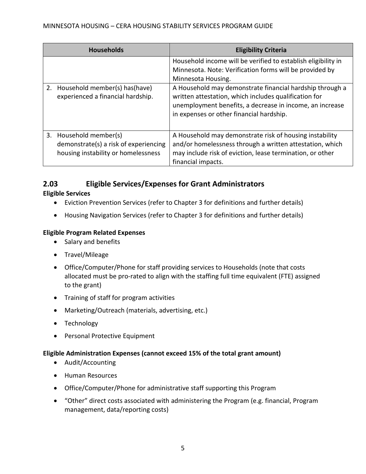| <b>Households</b> |                                                                                                        | <b>Eligibility Criteria</b>                                                                                                                                                                                                                                                                                                                                                 |
|-------------------|--------------------------------------------------------------------------------------------------------|-----------------------------------------------------------------------------------------------------------------------------------------------------------------------------------------------------------------------------------------------------------------------------------------------------------------------------------------------------------------------------|
|                   | 2. Household member(s) has (have)<br>experienced a financial hardship.                                 | Household income will be verified to establish eligibility in<br>Minnesota. Note: Verification forms will be provided by<br>Minnesota Housing.<br>A Household may demonstrate financial hardship through a<br>written attestation, which includes qualification for<br>unemployment benefits, a decrease in income, an increase<br>in expenses or other financial hardship. |
|                   | 3. Household member(s)<br>demonstrate(s) a risk of experiencing<br>housing instability or homelessness | A Household may demonstrate risk of housing instability<br>and/or homelessness through a written attestation, which<br>may include risk of eviction, lease termination, or other<br>financial impacts.                                                                                                                                                                      |

## <span id="page-5-0"></span>**2.03 Eligible Services/Expenses for Grant Administrators**

#### **Eligible Services**

- Eviction Prevention Services (refer to Chapter 3 for definitions and further details)
- Housing Navigation Services (refer to Chapter 3 for definitions and further details)

#### **Eligible Program Related Expenses**

- Salary and benefits
- Travel/Mileage
- Office/Computer/Phone for staff providing services to Households (note that costs allocated must be pro-rated to align with the staffing full time equivalent (FTE) assigned to the grant)
- Training of staff for program activities
- Marketing/Outreach (materials, advertising, etc.)
- Technology
- Personal Protective Equipment

#### **Eligible Administration Expenses (cannot exceed 15% of the total grant amount)**

- Audit/Accounting
- Human Resources
- Office/Computer/Phone for administrative staff supporting this Program
- "Other" direct costs associated with administering the Program (e.g. financial, Program management, data/reporting costs)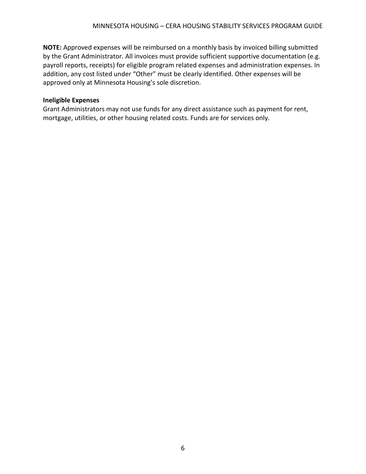**NOTE:** Approved expenses will be reimbursed on a monthly basis by invoiced billing submitted by the Grant Administrator. All invoices must provide sufficient supportive documentation (e.g. payroll reports, receipts) for eligible program related expenses and administration expenses. In addition, any cost listed under "Other" must be clearly identified. Other expenses will be approved only at Minnesota Housing's sole discretion.

#### **Ineligible Expenses**

Grant Administrators may not use funds for any direct assistance such as payment for rent, mortgage, utilities, or other housing related costs. Funds are for services only.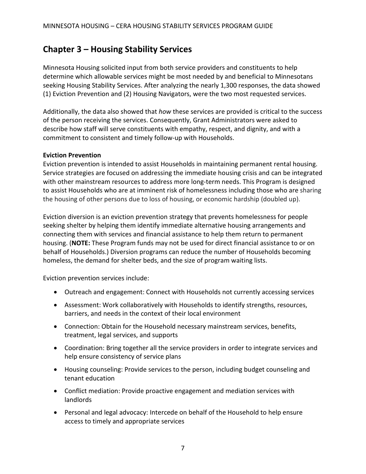# <span id="page-7-0"></span>**Chapter 3 – Housing Stability Services**

Minnesota Housing solicited input from both service providers and constituents to help determine which allowable services might be most needed by and beneficial to Minnesotans seeking Housing Stability Services. After analyzing the nearly 1,300 responses, the data showed (1) Eviction Prevention and (2) Housing Navigators, were the two most requested services.

Additionally, the data also showed that *how* these services are provided is critical to the success of the person receiving the services. Consequently, Grant Administrators were asked to describe how staff will serve constituents with empathy, respect, and dignity, and with a commitment to consistent and timely follow-up with Households.

#### **Eviction Prevention**

Eviction prevention is intended to assist Households in maintaining permanent rental housing. Service strategies are focused on addressing the immediate housing crisis and can be integrated with other mainstream resources to address more long-term needs. This Program is designed to assist Households who are at imminent risk of homelessness including those who are sharing the housing of other persons due to loss of housing, or economic hardship (doubled up).

Eviction diversion is an eviction prevention strategy that prevents homelessness for people seeking shelter by helping them identify immediate alternative housing arrangements and connecting them with services and financial assistance to help them return to permanent housing. (**NOTE:** These Program funds may not be used for direct financial assistance to or on behalf of Households.) Diversion programs can reduce the number of Households becoming homeless, the demand for shelter beds, and the size of program waiting lists.

Eviction prevention services include:

- Outreach and engagement: Connect with Households not currently accessing services
- Assessment: Work collaboratively with Households to identify strengths, resources, barriers, and needs in the context of their local environment
- Connection: Obtain for the Household necessary mainstream services, benefits, treatment, legal services, and supports
- Coordination: Bring together all the service providers in order to integrate services and help ensure consistency of service plans
- Housing counseling: Provide services to the person, including budget counseling and tenant education
- Conflict mediation: Provide proactive engagement and mediation services with landlords
- Personal and legal advocacy: Intercede on behalf of the Household to help ensure access to timely and appropriate services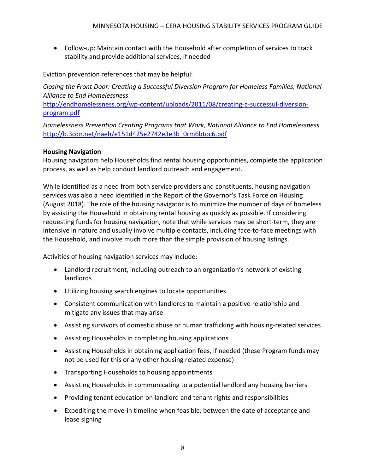• Follow-up: Maintain contact with the Household after completion of services to track stability and provide additional services, if needed

Eviction prevention references that may be helpful:

*Closing the Front Door: Creating a Successful Diversion Program for Homeless Families, National Alliance to End Homelessness*

[http://endhomelessness.org/wp-content/uploads/2011/08/creating-a-successul-diversion](http://endhomelessness.org/wp-content/uploads/2011/08/creating-a-successul-diversion-program.pdf)[program.pdf](http://endhomelessness.org/wp-content/uploads/2011/08/creating-a-successul-diversion-program.pdf)

*Homelessness Prevention Creating Programs that Work, National Alliance to End Homelessness*  [http://b.3cdn.net/naeh/e151d425e2742e3e3b\\_0rm6btoc6.pdf](http://b.3cdn.net/naeh/e151d425e2742e3e3b_0rm6btoc6.pdf)

#### **Housing Navigation**

Housing navigators help Households find rental housing opportunities, complete the application process, as well as help conduct landlord outreach and engagement.

While identified as a need from both service providers and constituents, housing navigation services was also a need identified in the [Report of the Governor's Task Force on Housing](https://mnhousingtaskforce.com/sites/mnhousingtaskforce.com/files/document/pdf/Housing%20Task%20Force%20Report_FINALa.pdf)  [\(August 2018\).](https://mnhousingtaskforce.com/sites/mnhousingtaskforce.com/files/document/pdf/Housing%20Task%20Force%20Report_FINALa.pdf) The role of the housing navigator is to minimize the number of days of homeless by assisting the Household in obtaining rental housing as quickly as possible. If considering requesting funds for housing navigation, note that while services may be short-term, they are intensive in nature and usually involve multiple contacts, including face-to-face meetings with the Household, and involve much more than the simple provision of housing listings.

Activities of housing navigation services may include:

- Landlord recruitment, including outreach to an organization's network of existing landlords
- Utilizing housing search engines to locate opportunities
- Consistent communication with landlords to maintain a positive relationship and mitigate any issues that may arise
- Assisting survivors of domestic abuse or human trafficking with housing-related services
- Assisting Households in completing housing applications
- Assisting Households in obtaining application fees, if needed (these Program funds may not be used for this or any other housing related expense)
- Transporting Households to housing appointments
- Assisting Households in communicating to a potential landlord any housing barriers
- Providing tenant education on landlord and tenant rights and responsibilities
- Expediting the move-in timeline when feasible, between the date of acceptance and lease signing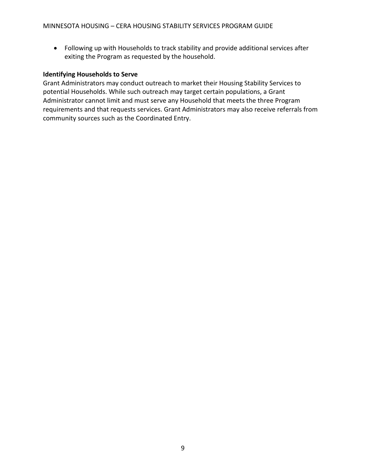• Following up with Households to track stability and provide additional services after exiting the Program as requested by the household.

#### **Identifying Households to Serve**

Grant Administrators may conduct outreach to market their Housing Stability Services to potential Households. While such outreach may target certain populations, a Grant Administrator cannot limit and must serve any Household that meets the three Program requirements and that requests services. Grant Administrators may also receive referrals from community sources such as the Coordinated Entry.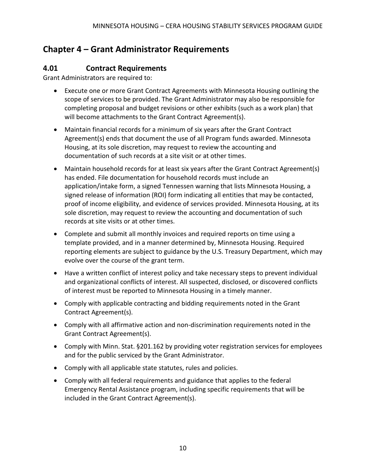# <span id="page-10-0"></span>**Chapter 4 – Grant Administrator Requirements**

### <span id="page-10-1"></span>**4.01 Contract Requirements**

Grant Administrators are required to:

- Execute one or more Grant Contract Agreements with Minnesota Housing outlining the scope of services to be provided. The Grant Administrator may also be responsible for completing proposal and budget revisions or other exhibits (such as a work plan) that will become attachments to the Grant Contract Agreement(s).
- Maintain financial records for a minimum of six years after the Grant Contract Agreement(s) ends that document the use of all Program funds awarded. Minnesota Housing, at its sole discretion, may request to review the accounting and documentation of such records at a site visit or at other times.
- Maintain household records for at least six years after the Grant Contract Agreement(s) has ended. File documentation for household records must include an application/intake form, a signed Tennessen warning that lists Minnesota Housing, a signed release of information (ROI) form indicating all entities that may be contacted, proof of income eligibility, and evidence of services provided. Minnesota Housing, at its sole discretion, may request to review the accounting and documentation of such records at site visits or at other times.
- Complete and submit all monthly invoices and required reports on time using a template provided, and in a manner determined by, Minnesota Housing. Required reporting elements are subject to guidance by the U.S. Treasury Department, which may evolve over the course of the grant term.
- Have a written conflict of interest policy and take necessary steps to prevent individual and organizational conflicts of interest. All suspected, disclosed, or discovered conflicts of interest must be reported to Minnesota Housing in a timely manner.
- Comply with applicable contracting and bidding requirements noted in the Grant Contract Agreement(s).
- Comply with all affirmative action and non-discrimination requirements noted in the Grant Contract Agreement(s).
- Comply with Minn. Stat. §201.162 by providing voter registration services for employees and for the public serviced by the Grant Administrator.
- Comply with all applicable state statutes, rules and policies.
- Comply with all federal requirements and guidance that applies to the federal Emergency Rental Assistance program, including specific requirements that will be included in the Grant Contract Agreement(s).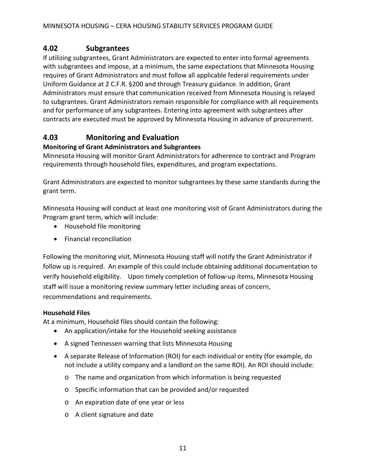## <span id="page-11-0"></span>**4.02 Subgrantees**

If utilizing subgrantees, Grant Administrators are expected to enter into formal agreements with subgrantees and impose, at a minimum, the same expectations that Minnesota Housing requires of Grant Administrators and must follow all applicable federal requirements under Uniform Guidance at 2 C.F.R. §200 and through Treasury guidance. In addition, Grant Administrators must ensure that communication received from Minnesota Housing is relayed to subgrantees. Grant Administrators remain responsible for compliance with all requirements and for performance of any subgrantees. Entering into agreement with subgrantees after contracts are executed must be approved by Minnesota Housing in advance of procurement.

# **4.03 Monitoring and Evaluation**

#### **Monitoring of Grant Administrators and Subgrantees**

Minnesota Housing will monitor Grant Administrators for adherence to contract and Program requirements through household files, expenditures, and program expectations.

Grant Administrators are expected to monitor subgrantees by these same standards during the grant term.

Minnesota Housing will conduct at least one monitoring visit of Grant Administrators during the Program grant term, which will include:

- Household file monitoring
- Financial reconciliation

Following the monitoring visit, Minnesota Housing staff will notify the Grant Administrator if follow up is required. An example of this could include obtaining additional documentation to verify household eligibility. Upon timely completion of follow-up items, Minnesota Housing staff will issue a monitoring review summary letter including areas of concern, recommendations and requirements.

#### **Household Files**

At a minimum, Household files should contain the following:

- An application/intake for the Household seeking assistance
- A signed Tennessen warning that lists Minnesota Housing
- A separate Release of Information (ROI) for each individual or entity (for example, do not include a utility company and a landlord on the same ROI). An ROI should include:
	- o The name and organization from which information is being requested
	- o Specific information that can be provided and/or requested
	- o An expiration date of one year or less
	- o A client signature and date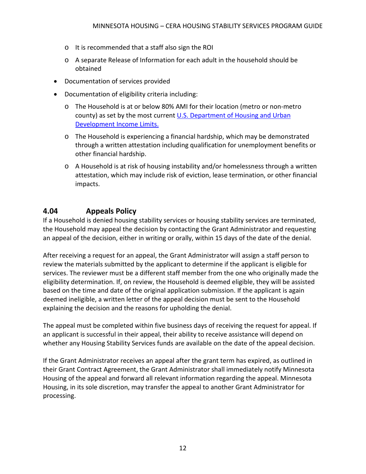- o It is recommended that a staff also sign the ROI
- o A separate Release of Information for each adult in the household should be obtained
- Documentation of services provided
- Documentation of eligibility criteria including:
	- o The Household is at or below 80% AMI for their location (metro or non-metro county) as set by the most current U.S. Department of Housing and Urban [Development Income Limits.](https://www.huduser.gov/portal/datasets/il.html)
	- o The Household is experiencing a financial hardship, which may be demonstrated through a written attestation including qualification for unemployment benefits or other financial hardship.
	- $\circ$  A Household is at risk of housing instability and/or homelessness through a written attestation, which may include risk of eviction, lease termination, or other financial impacts.

### <span id="page-12-0"></span>**4.04 Appeals Policy**

If a Household is denied housing stability services or housing stability services are terminated, the Household may appeal the decision by contacting the Grant Administrator and requesting an appeal of the decision, either in writing or orally, within 15 days of the date of the denial.

After receiving a request for an appeal, the Grant Administrator will assign a staff person to review the materials submitted by the applicant to determine if the applicant is eligible for services. The reviewer must be a different staff member from the one who originally made the eligibility determination. If, on review, the Household is deemed eligible, they will be assisted based on the time and date of the original application submission. If the applicant is again deemed ineligible, a written letter of the appeal decision must be sent to the Household explaining the decision and the reasons for upholding the denial.

The appeal must be completed within five business days of receiving the request for appeal. If an applicant is successful in their appeal, their ability to receive assistance will depend on whether any Housing Stability Services funds are available on the date of the appeal decision.

If the Grant Administrator receives an appeal after the grant term has expired, as outlined in their Grant Contract Agreement, the Grant Administrator shall immediately notify Minnesota Housing of the appeal and forward all relevant information regarding the appeal. Minnesota Housing, in its sole discretion, may transfer the appeal to another Grant Administrator for processing.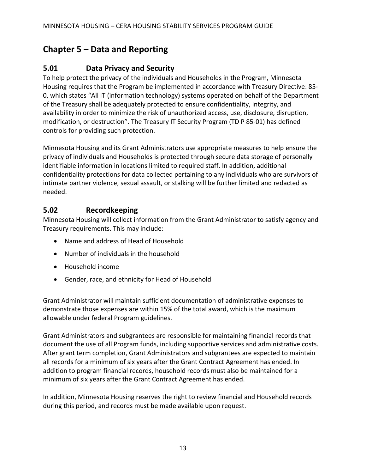# <span id="page-13-0"></span>**Chapter 5 – Data and Reporting**

# <span id="page-13-1"></span>**5.01 Data Privacy and Security**

To help protect the privacy of the individuals and Households in the Program, Minnesota Housing requires that the Program be implemented in accordance with Treasury Directive: 85- 0, which states "All IT (information technology) systems operated on behalf of the Department of the Treasury shall be adequately protected to ensure confidentiality, integrity, and availability in order to minimize the risk of unauthorized access, use, disclosure, disruption, modification, or destruction". The Treasury IT Security Program (TD P 85-01) has defined controls for providing such protection.

Minnesota Housing and its Grant Administrators use appropriate measures to help ensure the privacy of individuals and Households is protected through secure data storage of personally identifiable information in locations limited to required staff. In addition, additional confidentiality protections for data collected pertaining to any individuals who are survivors of intimate partner violence, sexual assault, or stalking will be further limited and redacted as needed.

### <span id="page-13-2"></span>**5.02 Recordkeeping**

Minnesota Housing will collect information from the Grant Administrator to satisfy agency and Treasury requirements. This may include:

- Name and address of Head of Household
- Number of individuals in the household
- Household income
- Gender, race, and ethnicity for Head of Household

Grant Administrator will maintain sufficient documentation of administrative expenses to demonstrate those expenses are within 15% of the total award, which is the maximum allowable under federal Program guidelines.

Grant Administrators and subgrantees are responsible for maintaining financial records that document the use of all Program funds, including supportive services and administrative costs. After grant term completion, Grant Administrators and subgrantees are expected to maintain all records for a minimum of six years after the Grant Contract Agreement has ended. In addition to program financial records, household records must also be maintained for a minimum of six years after the Grant Contract Agreement has ended.

In addition, Minnesota Housing reserves the right to review financial and Household records during this period, and records must be made available upon request.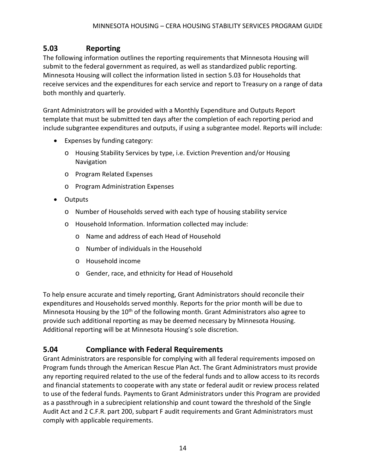## <span id="page-14-0"></span>**5.03 Reporting**

The following information outlines the reporting requirements that Minnesota Housing will submit to the federal government as required, as well as standardized public reporting. Minnesota Housing will collect the information listed in section 5.03 for Households that receive services and the expenditures for each service and report to Treasury on a range of data both monthly and quarterly.

Grant Administrators will be provided with a Monthly Expenditure and Outputs Report template that must be submitted ten days after the completion of each reporting period and include subgrantee expenditures and outputs, if using a subgrantee model. Reports will include:

- Expenses by funding category:
	- o Housing Stability Services by type, i.e. Eviction Prevention and/or Housing **Navigation**
	- o Program Related Expenses
	- o Program Administration Expenses
- Outputs
	- o Number of Households served with each type of housing stability service
	- o Household Information. Information collected may include:
		- o Name and address of each Head of Household
		- o Number of individuals in the Household
		- o Household income
		- o Gender, race, and ethnicity for Head of Household

To help ensure accurate and timely reporting, Grant Administrators should reconcile their expenditures and Households served monthly. Reports for the prior month will be due to Minnesota Housing by the 10<sup>th</sup> of the following month. Grant Administrators also agree to provide such additional reporting as may be deemed necessary by Minnesota Housing. Additional reporting will be at Minnesota Housing's sole discretion.

### <span id="page-14-1"></span>**5.04 Compliance with Federal Requirements**

Grant Administrators are responsible for complying with all federal requirements imposed on Program funds through the American Rescue Plan Act. The Grant Administrators must provide any reporting required related to the use of the federal funds and to allow access to its records and financial statements to cooperate with any state or federal audit or review process related to use of the federal funds. Payments to Grant Administrators under this Program are provided as a passthrough in a subrecipient relationship and count toward the threshold of the Single Audit Act and 2 C.F.R. part 200, subpart F audit requirements and Grant Administrators must comply with applicable requirements.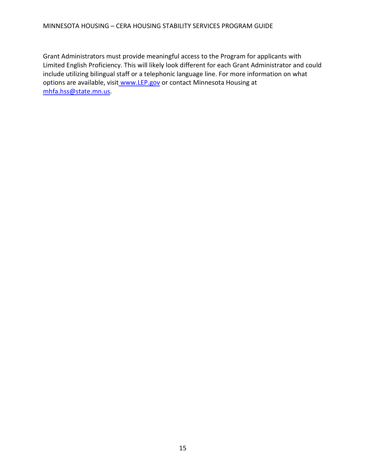Grant Administrators must provide meaningful access to the Program for applicants with Limited English Proficiency. This will likely look different for each Grant Administrator and could include utilizing bilingual staff or a telephonic language line. For more information on what options are available, visit [www.LEP.gov](https://gcc01.safelinks.protection.outlook.com/?url=http%3A%2F%2Fwww.lep.gov%2F&data=02%7C01%7CJames.Lehnhoff%40state.mn.us%7Cf3adcfc36b6441ea73a608d85e88fe12%7Ceb14b04624c445198f26b89c2159828c%7C0%7C0%7C637363289750212884&sdata=4gMk76W0mu2NnFRV6ORzwSRgT6VgNOXmaJtxwQOwYSk%3D&reserved=0) or contact Minnesota Housing at [mhfa.hss@state.mn.us.](mailto:mhfa.hss@state.mn.us)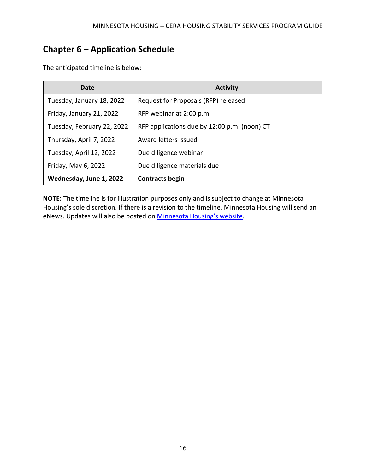# <span id="page-16-0"></span>**Chapter 6 – Application Schedule**

| Date                       | <b>Activity</b>                              |
|----------------------------|----------------------------------------------|
| Tuesday, January 18, 2022  | Request for Proposals (RFP) released         |
| Friday, January 21, 2022   | RFP webinar at 2:00 p.m.                     |
| Tuesday, February 22, 2022 | RFP applications due by 12:00 p.m. (noon) CT |
| Thursday, April 7, 2022    | Award letters issued                         |
| Tuesday, April 12, 2022    | Due diligence webinar                        |
| Friday, May 6, 2022        | Due diligence materials due                  |
| Wednesday, June 1, 2022    | <b>Contracts begin</b>                       |

The anticipated timeline is below:

**NOTE:** The timeline is for illustration purposes only and is subject to change at Minnesota Housing's sole discretion. If there is a revision to the timeline, Minnesota Housing will send an eNews. Updates will also be posted on **Minnesota Housing's website**.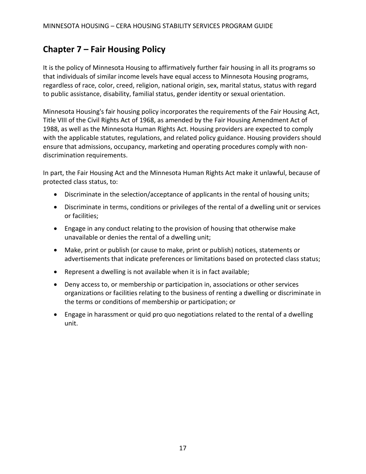# <span id="page-17-0"></span>**Chapter 7 – Fair Housing Policy**

It is the policy of Minnesota Housing to affirmatively further fair housing in all its programs so that individuals of similar income levels have equal access to Minnesota Housing programs, regardless of race, color, creed, religion, national origin, sex, marital status, status with regard to public assistance, disability, familial status, gender identity or sexual orientation.

Minnesota Housing's fair housing policy incorporates the requirements of the Fair Housing Act, Title VIII of the Civil Rights Act of 1968, as amended by the Fair Housing Amendment Act of 1988, as well as the Minnesota Human Rights Act. Housing providers are expected to comply with the applicable statutes, regulations, and related policy guidance. Housing providers should ensure that admissions, occupancy, marketing and operating procedures comply with nondiscrimination requirements.

In part, the Fair Housing Act and the Minnesota Human Rights Act make it unlawful, because of protected class status, to:

- Discriminate in the selection/acceptance of applicants in the rental of housing units;
- Discriminate in terms, conditions or privileges of the rental of a dwelling unit or services or facilities;
- Engage in any conduct relating to the provision of housing that otherwise make unavailable or denies the rental of a dwelling unit;
- Make, print or publish (or cause to make, print or publish) notices, statements or advertisements that indicate preferences or limitations based on protected class status;
- Represent a dwelling is not available when it is in fact available;
- Deny access to, or membership or participation in, associations or other services organizations or facilities relating to the business of renting a dwelling or discriminate in the terms or conditions of membership or participation; or
- Engage in harassment or quid pro quo negotiations related to the rental of a dwelling unit.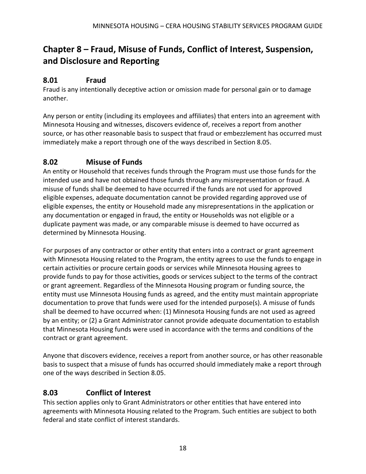# <span id="page-18-0"></span>**Chapter 8 – Fraud, Misuse of Funds, Conflict of Interest, Suspension, and Disclosure and Reporting**

### <span id="page-18-1"></span>**8.01 Fraud**

Fraud is any intentionally deceptive action or omission made for personal gain or to damage another.

Any person or entity (including its employees and affiliates) that enters into an agreement with Minnesota Housing and witnesses, discovers evidence of, receives a report from another source, or has other reasonable basis to suspect that fraud or embezzlement has occurred must immediately make a report through one of the ways described in Section 8.05.

# <span id="page-18-2"></span>**8.02 Misuse of Funds**

An entity or Household that receives funds through the Program must use those funds for the intended use and have not obtained those funds through any misrepresentation or fraud. A misuse of funds shall be deemed to have occurred if the funds are not used for approved eligible expenses, adequate documentation cannot be provided regarding approved use of eligible expenses, the entity or Household made any misrepresentations in the application or any documentation or engaged in fraud, the entity or Households was not eligible or a duplicate payment was made, or any comparable misuse is deemed to have occurred as determined by Minnesota Housing.

For purposes of any contractor or other entity that enters into a contract or grant agreement with Minnesota Housing related to the Program, the entity agrees to use the funds to engage in certain activities or procure certain goods or services while Minnesota Housing agrees to provide funds to pay for those activities, goods or services subject to the terms of the contract or grant agreement. Regardless of the Minnesota Housing program or funding source, the entity must use Minnesota Housing funds as agreed, and the entity must maintain appropriate documentation to prove that funds were used for the intended purpose(s). A misuse of funds shall be deemed to have occurred when: (1) Minnesota Housing funds are not used as agreed by an entity; or (2) a Grant Administrator cannot provide adequate documentation to establish that Minnesota Housing funds were used in accordance with the terms and conditions of the contract or grant agreement.

Anyone that discovers evidence, receives a report from another source, or has other reasonable basis to suspect that a misuse of funds has occurred should immediately make a report through one of the ways described in Section 8.05.

## <span id="page-18-3"></span>**8.03 Conflict of Interest**

This section applies only to Grant Administrators or other entities that have entered into agreements with Minnesota Housing related to the Program. Such entities are subject to both federal and state conflict of interest standards.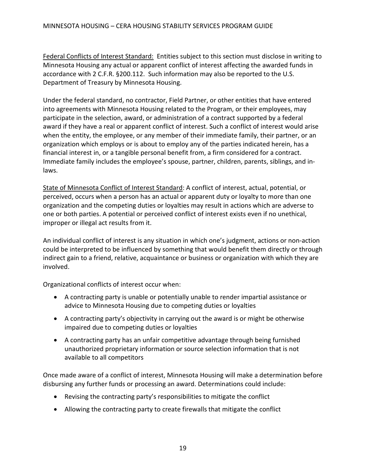Federal Conflicts of Interest Standard: Entities subject to this section must disclose in writing to Minnesota Housing any actual or apparent conflict of interest affecting the awarded funds in accordance with 2 C.F.R. §200.112. Such information may also be reported to the U.S. Department of Treasury by Minnesota Housing.

Under the federal standard, no contractor, Field Partner, or other entities that have entered into agreements with Minnesota Housing related to the Program, or their employees, may participate in the selection, award, or administration of a contract supported by a federal award if they have a real or apparent conflict of interest. Such a conflict of interest would arise when the entity, the employee, or any member of their immediate family, their partner, or an organization which employs or is about to employ any of the parties indicated herein, has a financial interest in, or a tangible personal benefit from, a firm considered for a contract. Immediate family includes the employee's spouse, partner, children, parents, siblings, and inlaws.

State of Minnesota Conflict of Interest Standard: A conflict of interest, actual, potential, or perceived, occurs when a person has an actual or apparent duty or loyalty to more than one organization and the competing duties or loyalties may result in actions which are adverse to one or both parties. A potential or perceived conflict of interest exists even if no unethical, improper or illegal act results from it.

An individual conflict of interest is any situation in which one's judgment, actions or non-action could be interpreted to be influenced by something that would benefit them directly or through indirect gain to a friend, relative, acquaintance or business or organization with which they are involved.

Organizational conflicts of interest occur when:

- A contracting party is unable or potentially unable to render impartial assistance or advice to Minnesota Housing due to competing duties or loyalties
- A contracting party's objectivity in carrying out the award is or might be otherwise impaired due to competing duties or loyalties
- A contracting party has an unfair competitive advantage through being furnished unauthorized proprietary information or source selection information that is not available to all competitors

Once made aware of a conflict of interest, Minnesota Housing will make a determination before disbursing any further funds or processing an award. Determinations could include:

- Revising the contracting party's responsibilities to mitigate the conflict
- Allowing the contracting party to create firewalls that mitigate the conflict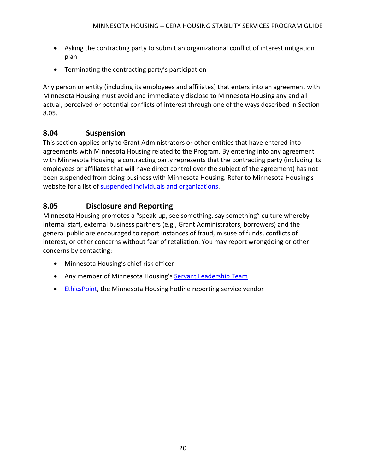- Asking the contracting party to submit an organizational conflict of interest mitigation plan
- Terminating the contracting party's participation

Any person or entity (including its employees and affiliates) that enters into an agreement with Minnesota Housing must avoid and immediately disclose to Minnesota Housing any and all actual, perceived or potential conflicts of interest through one of the ways described in Section 8.05.

## <span id="page-20-0"></span>**8.04 Suspension**

This section applies only to Grant Administrators or other entities that have entered into agreements with Minnesota Housing related to the Program. By entering into any agreement with Minnesota Housing, a contracting party represents that the contracting party (including its employees or affiliates that will have direct control over the subject of the agreement) has not been suspended from doing business with Minnesota Housing. Refer to Minnesota Housing's website for a list of [suspended individuals and organizations.](https://www.mnhousing.gov/sites/np/suspensions)

# <span id="page-20-1"></span>**8.05 Disclosure and Reporting**

Minnesota Housing promotes a "speak-up, see something, say something" culture whereby internal staff, external business partners (e.g., Grant Administrators, borrowers) and the general public are encouraged to report instances of fraud, misuse of funds, conflicts of interest, or other concerns without fear of retaliation. You may report wrongdoing or other concerns by contacting:

- Minnesota Housing's chief risk officer
- Any member of Minnesota Housing's [Servant Leadership Team](https://www.mnhousing.gov/sites/np/leadership)
- [EthicsPoint,](https://secure.ethicspoint.com/domain/media/en/gui/30639/index.html) the Minnesota Housing hotline reporting service vendor